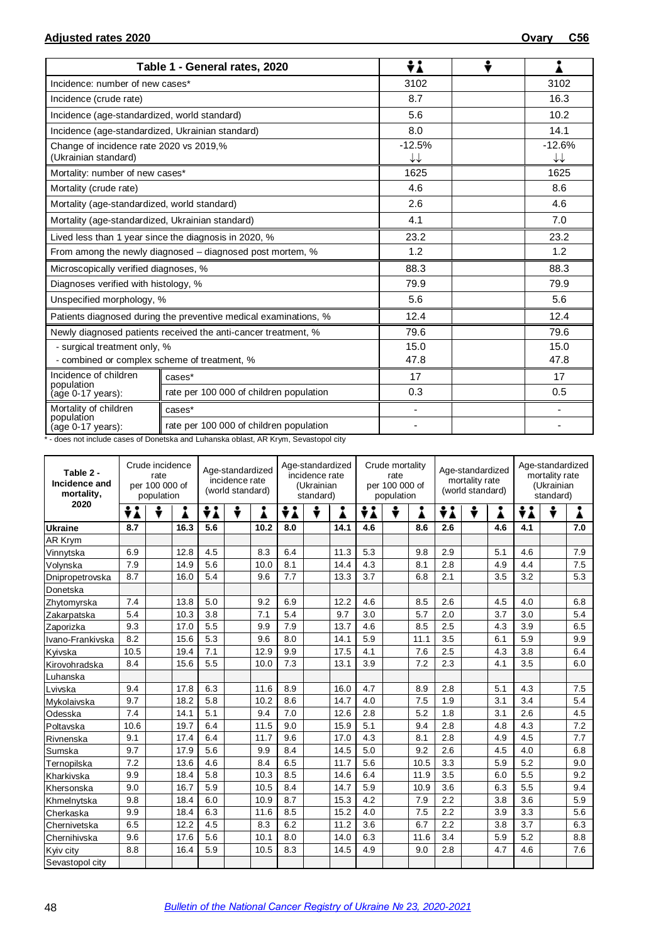|                                                                 | Table 1 - General rates, 2020                                    | ÷i             | ٠ |                |
|-----------------------------------------------------------------|------------------------------------------------------------------|----------------|---|----------------|
| Incidence: number of new cases*                                 |                                                                  | 3102           |   | 3102           |
| Incidence (crude rate)                                          |                                                                  | 8.7            |   | 16.3           |
| Incidence (age-standardized, world standard)                    |                                                                  | 5.6            |   | 10.2           |
| Incidence (age-standardized, Ukrainian standard)                |                                                                  | 8.0            |   | 14.1           |
| Change of incidence rate 2020 vs 2019,%<br>(Ukrainian standard) |                                                                  | $-12.5%$<br>↓↓ |   | $-12.6%$<br>↓↓ |
| Mortality: number of new cases*                                 |                                                                  | 1625           |   | 1625           |
| Mortality (crude rate)                                          |                                                                  | 4.6            |   | 8.6            |
| Mortality (age-standardized, world standard)                    |                                                                  | 2.6            |   | 4.6            |
| Mortality (age-standardized, Ukrainian standard)                |                                                                  | 4.1            |   | 7.0            |
|                                                                 | Lived less than 1 year since the diagnosis in 2020, %            | 23.2           |   | 23.2           |
|                                                                 | From among the newly diagnosed – diagnosed post mortem, %        | 1.2            |   | 1.2            |
| Microscopically verified diagnoses, %                           |                                                                  | 88.3           |   | 88.3           |
| Diagnoses verified with histology, %                            |                                                                  | 79.9           |   | 79.9           |
| Unspecified morphology, %                                       |                                                                  | 5.6            |   | 5.6            |
|                                                                 | Patients diagnosed during the preventive medical examinations, % | 12.4           |   | 12.4           |
|                                                                 | Newly diagnosed patients received the anti-cancer treatment, %   | 79.6           |   | 79.6           |
| - surgical treatment only, %                                    |                                                                  | 15.0           |   | 15.0           |
| - combined or complex scheme of treatment, %                    |                                                                  | 47.8           |   | 47.8           |
| Incidence of children<br>population                             | cases*                                                           | 17             |   | 17             |
| (age 0-17 years):                                               | rate per 100 000 of children population                          | 0.3            |   | 0.5            |
| Mortality of children                                           | cases*                                                           |                |   |                |
| population<br>(age 0-17 years):                                 | rate per 100 000 of children population                          |                |   |                |

\* - does not include cases of Donetska and Luhanska oblast, AR Krym, Sevastopol city

| Table 2 -<br>Incidence and<br>mortality, | Crude incidence<br>rate<br>per 100 000 of<br>population |   |      | Age-standardized<br>incidence rate<br>(world standard) |        |     | Age-standardized<br>incidence rate<br>(Ukrainian<br>standard) |      |     | Crude mortality<br>rate<br>per 100 000 of<br>population |      |     | Age-standardized<br>mortality rate<br>(world standard) |     | Age-standardized<br>mortality rate<br>(Ukrainian<br>standard) |   |     |
|------------------------------------------|---------------------------------------------------------|---|------|--------------------------------------------------------|--------|-----|---------------------------------------------------------------|------|-----|---------------------------------------------------------|------|-----|--------------------------------------------------------|-----|---------------------------------------------------------------|---|-----|
| 2020                                     | ÷i                                                      | ÷ | i    | ÷i                                                     | ÷<br>i | ÷i  | ÷                                                             |      | ÷i  |                                                         | ٠    | ÷i  | ÷                                                      | Å   | ÷i                                                            | ÷ |     |
| <b>Ukraine</b>                           | 8.7                                                     |   | 16.3 | 5.6                                                    | 10.2   | 8.0 |                                                               | 14.1 | 4.6 |                                                         | 8.6  | 2.6 |                                                        | 4.6 | 4.1                                                           |   | 7.0 |
| AR Krym                                  |                                                         |   |      |                                                        |        |     |                                                               |      |     |                                                         |      |     |                                                        |     |                                                               |   |     |
| Vinnytska                                | 6.9                                                     |   | 12.8 | 4.5                                                    | 8.3    | 6.4 |                                                               | 11.3 | 5.3 |                                                         | 9.8  | 2.9 |                                                        | 5.1 | 4.6                                                           |   | 7.9 |
| Volynska                                 | 7.9                                                     |   | 14.9 | 5.6                                                    | 10.0   | 8.1 |                                                               | 14.4 | 4.3 |                                                         | 8.1  | 2.8 |                                                        | 4.9 | 4.4                                                           |   | 7.5 |
| Dnipropetrovska                          | 8.7                                                     |   | 16.0 | 5.4                                                    | 9.6    | 7.7 |                                                               | 13.3 | 3.7 |                                                         | 6.8  | 2.1 |                                                        | 3.5 | 3.2                                                           |   | 5.3 |
| Donetska                                 |                                                         |   |      |                                                        |        |     |                                                               |      |     |                                                         |      |     |                                                        |     |                                                               |   |     |
| Zhytomyrska                              | 7.4                                                     |   | 13.8 | 5.0                                                    | 9.2    | 6.9 |                                                               | 12.2 | 4.6 |                                                         | 8.5  | 2.6 |                                                        | 4.5 | 4.0                                                           |   | 6.8 |
| Zakarpatska                              | 5.4                                                     |   | 10.3 | 3.8                                                    | 7.1    | 5.4 |                                                               | 9.7  | 3.0 |                                                         | 5.7  | 2.0 |                                                        | 3.7 | 3.0                                                           |   | 5.4 |
| Zaporizka                                | 9.3                                                     |   | 17.0 | 5.5                                                    | 9.9    | 7.9 |                                                               | 13.7 | 4.6 |                                                         | 8.5  | 2.5 |                                                        | 4.3 | 3.9                                                           |   | 6.5 |
| Ivano-Frankivska                         | 8.2                                                     |   | 15.6 | 5.3                                                    | 9.6    | 8.0 |                                                               | 14.1 | 5.9 |                                                         | 11.1 | 3.5 |                                                        | 6.1 | 5.9                                                           |   | 9.9 |
| Kyivska                                  | 10.5                                                    |   | 19.4 | 7.1                                                    | 12.9   | 9.9 |                                                               | 17.5 | 4.1 |                                                         | 7.6  | 2.5 |                                                        | 4.3 | 3.8                                                           |   | 6.4 |
| Kirovohradska                            | 8.4                                                     |   | 15.6 | 5.5                                                    | 10.0   | 7.3 |                                                               | 13.1 | 3.9 |                                                         | 7.2  | 2.3 |                                                        | 4.1 | 3.5                                                           |   | 6.0 |
| Luhanska                                 |                                                         |   |      |                                                        |        |     |                                                               |      |     |                                                         |      |     |                                                        |     |                                                               |   |     |
| Lvivska                                  | 9.4                                                     |   | 17.8 | 6.3                                                    | 11.6   | 8.9 |                                                               | 16.0 | 4.7 |                                                         | 8.9  | 2.8 |                                                        | 5.1 | 4.3                                                           |   | 7.5 |
| Mykolaivska                              | 9.7                                                     |   | 18.2 | 5.8                                                    | 10.2   | 8.6 |                                                               | 14.7 | 4.0 |                                                         | 7.5  | 1.9 |                                                        | 3.1 | 3.4                                                           |   | 5.4 |
| Odesska                                  | 7.4                                                     |   | 14.1 | 5.1                                                    | 9.4    | 7.0 |                                                               | 12.6 | 2.8 |                                                         | 5.2  | 1.8 |                                                        | 3.1 | 2.6                                                           |   | 4.5 |
| Poltavska                                | 10.6                                                    |   | 19.7 | 6.4                                                    | 11.5   | 9.0 |                                                               | 15.9 | 5.1 |                                                         | 9.4  | 2.8 |                                                        | 4.8 | 4.3                                                           |   | 7.2 |
| Rivnenska                                | 9.1                                                     |   | 17.4 | 6.4                                                    | 11.7   | 9.6 |                                                               | 17.0 | 4.3 |                                                         | 8.1  | 2.8 |                                                        | 4.9 | 4.5                                                           |   | 7.7 |
| Sumska                                   | 9.7                                                     |   | 17.9 | 5.6                                                    | 9.9    | 8.4 |                                                               | 14.5 | 5.0 |                                                         | 9.2  | 2.6 |                                                        | 4.5 | 4.0                                                           |   | 6.8 |
| Ternopilska                              | 7.2                                                     |   | 13.6 | 4.6                                                    | 8.4    | 6.5 |                                                               | 11.7 | 5.6 |                                                         | 10.5 | 3.3 |                                                        | 5.9 | 5.2                                                           |   | 9.0 |
| Kharkivska                               | 9.9                                                     |   | 18.4 | 5.8                                                    | 10.3   | 8.5 |                                                               | 14.6 | 6.4 |                                                         | 11.9 | 3.5 |                                                        | 6.0 | 5.5                                                           |   | 9.2 |
| Khersonska                               | 9.0                                                     |   | 16.7 | 5.9                                                    | 10.5   | 8.4 |                                                               | 14.7 | 5.9 |                                                         | 10.9 | 3.6 |                                                        | 6.3 | 5.5                                                           |   | 9.4 |
| Khmelnytska                              | 9.8                                                     |   | 18.4 | 6.0                                                    | 10.9   | 8.7 |                                                               | 15.3 | 4.2 |                                                         | 7.9  | 2.2 |                                                        | 3.8 | 3.6                                                           |   | 5.9 |
| Cherkaska                                | 9.9                                                     |   | 18.4 | 6.3                                                    | 11.6   | 8.5 |                                                               | 15.2 | 4.0 |                                                         | 7.5  | 2.2 |                                                        | 3.9 | 3.3                                                           |   | 5.6 |
| Chernivetska                             | 6.5                                                     |   | 12.2 | 4.5                                                    | 8.3    | 6.2 |                                                               | 11.2 | 3.6 |                                                         | 6.7  | 2.2 |                                                        | 3.8 | 3.7                                                           |   | 6.3 |
| Chernihivska                             | 9.6                                                     |   | 17.6 | 5.6                                                    | 10.1   | 8.0 |                                                               | 14.0 | 6.3 |                                                         | 11.6 | 3.4 |                                                        | 5.9 | 5.2                                                           |   | 8.8 |
| Kyiv city                                | 8.8                                                     |   | 16.4 | 5.9                                                    | 10.5   | 8.3 |                                                               | 14.5 | 4.9 |                                                         | 9.0  | 2.8 |                                                        | 4.7 | 4.6                                                           |   | 7.6 |
| Sevastopol city                          |                                                         |   |      |                                                        |        |     |                                                               |      |     |                                                         |      |     |                                                        |     |                                                               |   |     |